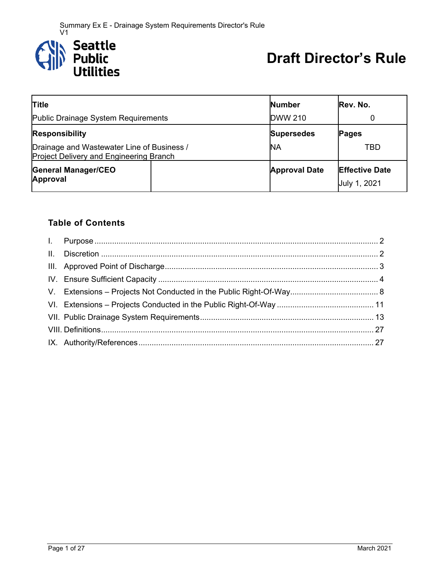

# **Draft Director's Rule**

| <b>Title</b>                                                                                 | <b>Number</b>        | Rev. No.                                     |
|----------------------------------------------------------------------------------------------|----------------------|----------------------------------------------|
| Public Drainage System Requirements                                                          | <b>DWW 210</b>       |                                              |
| <b>Responsibility</b>                                                                        | <b>Supersedes</b>    | <b>Pages</b>                                 |
| Drainage and Wastewater Line of Business /<br><b>Project Delivery and Engineering Branch</b> | NΑ                   | TBD                                          |
| <b>General Manager/CEO</b><br>Approval                                                       | <b>Approval Date</b> | <b>Effective Date</b><br><b>July 1, 2021</b> |

# **Table of Contents**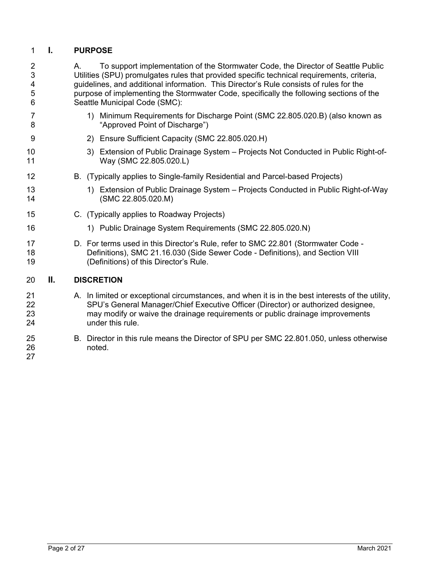## 1 **I. PURPOSE**

| $\overline{2}$<br>3<br>4<br>5<br>6 |    | To support implementation of the Stormwater Code, the Director of Seattle Public<br>Α.<br>Utilities (SPU) promulgates rules that provided specific technical requirements, criteria,<br>guidelines, and additional information. This Director's Rule consists of rules for the<br>purpose of implementing the Stormwater Code, specifically the following sections of the<br>Seattle Municipal Code (SMC): |
|------------------------------------|----|------------------------------------------------------------------------------------------------------------------------------------------------------------------------------------------------------------------------------------------------------------------------------------------------------------------------------------------------------------------------------------------------------------|
| 7<br>8                             |    | 1) Minimum Requirements for Discharge Point (SMC 22.805.020.B) (also known as<br>"Approved Point of Discharge")                                                                                                                                                                                                                                                                                            |
| 9                                  |    | 2) Ensure Sufficient Capacity (SMC 22.805.020.H)                                                                                                                                                                                                                                                                                                                                                           |
| 10<br>11                           |    | 3) Extension of Public Drainage System - Projects Not Conducted in Public Right-of-<br>Way (SMC 22.805.020.L)                                                                                                                                                                                                                                                                                              |
| 12                                 |    | B. (Typically applies to Single-family Residential and Parcel-based Projects)                                                                                                                                                                                                                                                                                                                              |
| 13<br>14                           |    | 1) Extension of Public Drainage System – Projects Conducted in Public Right-of-Way<br>(SMC 22.805.020.M)                                                                                                                                                                                                                                                                                                   |
| 15                                 |    | C. (Typically applies to Roadway Projects)                                                                                                                                                                                                                                                                                                                                                                 |
| 16                                 |    | 1) Public Drainage System Requirements (SMC 22.805.020.N)                                                                                                                                                                                                                                                                                                                                                  |
| 17<br>18<br>19                     |    | D. For terms used in this Director's Rule, refer to SMC 22.801 (Stormwater Code -<br>Definitions), SMC 21.16.030 (Side Sewer Code - Definitions), and Section VIII<br>(Definitions) of this Director's Rule.                                                                                                                                                                                               |
| 20                                 | Ш. | <b>DISCRETION</b>                                                                                                                                                                                                                                                                                                                                                                                          |
| 21<br>22<br>23<br>24               |    | A. In limited or exceptional circumstances, and when it is in the best interests of the utility,<br>SPU's General Manager/Chief Executive Officer (Director) or authorized designee,<br>may modify or waive the drainage requirements or public drainage improvements<br>under this rule.                                                                                                                  |
| 25<br>26<br>27                     |    | B. Director in this rule means the Director of SPU per SMC 22.801.050, unless otherwise<br>noted.                                                                                                                                                                                                                                                                                                          |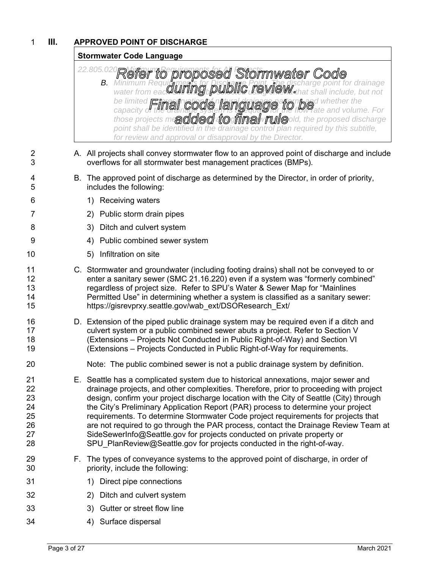# 1 **III. APPROVED POINT OF DISCHARGE**

## **Stormwater Code Language**

#### <sup>22.805.02</sup> Refer to proposed Stormwater Code **B.** Minimum Requi**rements for Discharge Point. The discharge point for drainage** water from eac**w will be selected using the state shall include**, but not be limited **Eims fratal and night of natural dramage of an index** capacity of the drainage system is adequate for the flow rate and volume. For *those projects mand ded to final rule and verally the proposed discharge point shall be identified in the drainage control plan required by this subtitle, for review and approval or disapproval by the Director.*

- 2 A. All projects shall convey stormwater flow to an approved point of discharge and include 3 overflows for all stormwater best management practices (BMPs).
- 4 B. The approved point of discharge as determined by the Director, in order of priority, 5 includes the following:
- 6 1) Receiving waters
- 7 2) Public storm drain pipes
- 8 3) Ditch and culvert system
- 9 4) Public combined sewer system
- 10 5) Infiltration on site
- 11 C. Stormwater and groundwater (including footing drains) shall not be conveyed to or 12 enter a sanitary sewer (SMC 21.16.220) even if a system was "formerly combined" 13 regardless of project size. Refer to SPU's Water & Sewer Map for "Mainlines 14 Permitted Use" in determining whether a system is classified as a sanitary sewer: 15 https://gisrevprxy.seattle.gov/wab\_ext/DSOResearch\_Ext/
- 16 D. Extension of the piped public drainage system may be required even if a ditch and 17 culvert system or a public combined sewer abuts a project. Refer to Section V 18 (Extensions – Projects Not Conducted in Public Right-of-Way) and Section VI 19 (Extensions – Projects Conducted in Public Right-of-Way for requirements.
- 20 Note: The public combined sewer is not a public drainage system by definition.
- 21 E. Seattle has a complicated system due to historical annexations, major sewer and 22 drainage projects, and other complexities. Therefore, prior to proceeding with project 23 design, confirm your project discharge location with the City of Seattle (City) through 24 the City's Preliminary Application Report (PAR) process to determine your project 25 requirements. To determine Stormwater Code project requirements for projects that 26 are not required to go through the PAR process, contact the Drainage Review Team at 27 SideSewerInfo@Seattle.gov for projects conducted on private property or 28 SPU PlanReview@Seattle.gov for projects conducted in the right-of-way.
- 29 F. The types of conveyance systems to the approved point of discharge, in order of 30 priority, include the following:
- 31 1) Direct pipe connections
- 32 2) Ditch and culvert system
- 33 3) Gutter or street flow line
- 34 4) Surface dispersal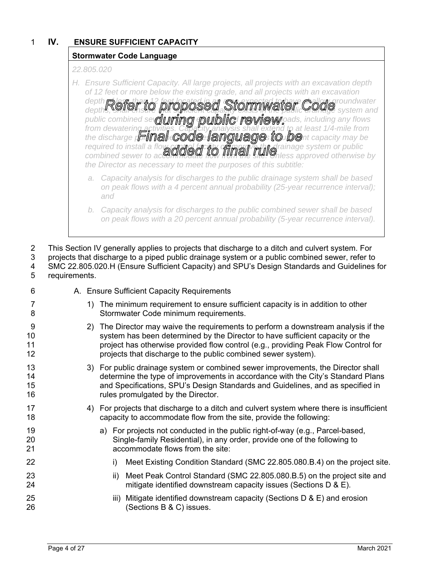# 1 **IV. ENSURE SUFFICIENT CAPACITY**

## **Stormwater Code Language**

#### *22.805.020*

*H. Ensure Sufficient Capacity. All large projects, all projects with an excavation depth of 12 feet or more below the existing grade, and all projects with an excavation*  depth **of a factor of a shallow and the located in a contract of the state of an archae shall aroundwater** depths, **shall einsure that sufficient capacity exists in the public drainage** system and public combined se**refl<b>uir trace** dotubling rewliews and any flows *from dewatering activities. Capacity analysis shall extend to at least 1/4-mile from* 

*required to install a flog calairal facility of manage fafter alrange system or public* combined sewer to accommodate flow fluit the site. This sapproved otherwise by *the Director as necessary to meet the purposes of this subtitle:* 

the discharge **point allege of an of the sign of the site. Signal transport of the site of the site of the site** 

*a. Capacity analysis for discharges to the public drainage system shall be based on peak flows with a 4 percent annual probability (25-year recurrence interval); and* 

2 This Section IV generally applies to projects that discharge to a ditch and culvert system. For

3 projects that discharge to a piped public drainage system or a public combined sewer, refer to 4 SMC 22.805.020.H (Ensure Sufficient Capacity) and SPU's Design Standards and Guidelines for 5 requirements.

| 6                    |  |               | A. Ensure Sufficient Capacity Requirements                                                                                                                                                                                                                                                                              |  |  |
|----------------------|--|---------------|-------------------------------------------------------------------------------------------------------------------------------------------------------------------------------------------------------------------------------------------------------------------------------------------------------------------------|--|--|
| 7<br>8               |  | 1)            | The minimum requirement to ensure sufficient capacity is in addition to other<br>Stormwater Code minimum requirements.                                                                                                                                                                                                  |  |  |
| 9<br>10<br>11<br>12  |  | <sup>2)</sup> | The Director may waive the requirements to perform a downstream analysis if the<br>system has been determined by the Director to have sufficient capacity or the<br>project has otherwise provided flow control (e.g., providing Peak Flow Control for<br>projects that discharge to the public combined sewer system). |  |  |
| 13<br>14<br>15<br>16 |  |               | 3) For public drainage system or combined sewer improvements, the Director shall<br>determine the type of improvements in accordance with the City's Standard Plans<br>and Specifications, SPU's Design Standards and Guidelines, and as specified in<br>rules promulgated by the Director.                             |  |  |
| 17<br>18             |  | 4)            | For projects that discharge to a ditch and culvert system where there is insufficient<br>capacity to accommodate flow from the site, provide the following:                                                                                                                                                             |  |  |
| 19<br>20<br>21       |  |               | a) For projects not conducted in the public right-of-way (e.g., Parcel-based,<br>Single-family Residential), in any order, provide one of the following to<br>accommodate flows from the site:                                                                                                                          |  |  |
| 22                   |  |               | Meet Existing Condition Standard (SMC 22.805.080.B.4) on the project site.<br>i)                                                                                                                                                                                                                                        |  |  |
| 23<br>24             |  |               | Meet Peak Control Standard (SMC 22.805.080.B.5) on the project site and<br>ii)<br>mitigate identified downstream capacity issues (Sections D & E).                                                                                                                                                                      |  |  |
| 25<br>26             |  |               | iii) Mitigate identified downstream capacity (Sections $D & E$ ) and erosion<br>(Sections B & C) issues.                                                                                                                                                                                                                |  |  |
|                      |  |               |                                                                                                                                                                                                                                                                                                                         |  |  |

*b. Capacity analysis for discharges to the public combined sewer shall be based on peak flows with a 20 percent annual probability (5-year recurrence interval).*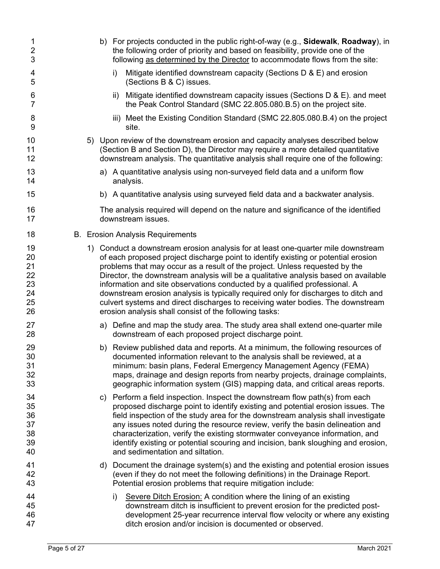| $\mathbf 1$<br>$\overline{\mathbf{c}}$<br>3  |  | b) For projects conducted in the public right-of-way (e.g., Sidewalk, Roadway), in<br>the following order of priority and based on feasibility, provide one of the<br>following as determined by the Director to accommodate flows from the site:                                                                                                                                                                                                                                                                                                                                                                                                              |
|----------------------------------------------|--|----------------------------------------------------------------------------------------------------------------------------------------------------------------------------------------------------------------------------------------------------------------------------------------------------------------------------------------------------------------------------------------------------------------------------------------------------------------------------------------------------------------------------------------------------------------------------------------------------------------------------------------------------------------|
| 4<br>5                                       |  | Mitigate identified downstream capacity (Sections D & E) and erosion<br>i)<br>(Sections B & C) issues.                                                                                                                                                                                                                                                                                                                                                                                                                                                                                                                                                         |
| 6<br>$\overline{7}$                          |  | ii) Mitigate identified downstream capacity issues (Sections $D & E$ ). and meet<br>the Peak Control Standard (SMC 22.805.080.B.5) on the project site.                                                                                                                                                                                                                                                                                                                                                                                                                                                                                                        |
| 8<br>9                                       |  | iii) Meet the Existing Condition Standard (SMC 22.805.080.B.4) on the project<br>site.                                                                                                                                                                                                                                                                                                                                                                                                                                                                                                                                                                         |
| 10<br>11<br>12                               |  | 5) Upon review of the downstream erosion and capacity analyses described below<br>(Section B and Section D), the Director may require a more detailed quantitative<br>downstream analysis. The quantitative analysis shall require one of the following:                                                                                                                                                                                                                                                                                                                                                                                                       |
| 13<br>14                                     |  | a) A quantitative analysis using non-surveyed field data and a uniform flow<br>analysis.                                                                                                                                                                                                                                                                                                                                                                                                                                                                                                                                                                       |
| 15                                           |  | b) A quantitative analysis using surveyed field data and a backwater analysis.                                                                                                                                                                                                                                                                                                                                                                                                                                                                                                                                                                                 |
| 16<br>17                                     |  | The analysis required will depend on the nature and significance of the identified<br>downstream issues.                                                                                                                                                                                                                                                                                                                                                                                                                                                                                                                                                       |
| 18                                           |  | <b>B.</b> Erosion Analysis Requirements                                                                                                                                                                                                                                                                                                                                                                                                                                                                                                                                                                                                                        |
| 19<br>20<br>21<br>22<br>23<br>24<br>25<br>26 |  | 1) Conduct a downstream erosion analysis for at least one-quarter mile downstream<br>of each proposed project discharge point to identify existing or potential erosion<br>problems that may occur as a result of the project. Unless requested by the<br>Director, the downstream analysis will be a qualitative analysis based on available<br>information and site observations conducted by a qualified professional. A<br>downstream erosion analysis is typically required only for discharges to ditch and<br>culvert systems and direct discharges to receiving water bodies. The downstream<br>erosion analysis shall consist of the following tasks: |
| 27<br>28                                     |  | a) Define and map the study area. The study area shall extend one-quarter mile<br>downstream of each proposed project discharge point.                                                                                                                                                                                                                                                                                                                                                                                                                                                                                                                         |
| 29<br>30<br>31<br>32<br>33                   |  | b) Review published data and reports. At a minimum, the following resources of<br>documented information relevant to the analysis shall be reviewed, at a<br>minimum: basin plans, Federal Emergency Management Agency (FEMA)<br>maps, drainage and design reports from nearby projects, drainage complaints,<br>geographic information system (GIS) mapping data, and critical areas reports.                                                                                                                                                                                                                                                                 |
| 34<br>35<br>36<br>37<br>38<br>39<br>40       |  | c) Perform a field inspection. Inspect the downstream flow path(s) from each<br>proposed discharge point to identify existing and potential erosion issues. The<br>field inspection of the study area for the downstream analysis shall investigate<br>any issues noted during the resource review, verify the basin delineation and<br>characterization, verify the existing stormwater conveyance information, and<br>identify existing or potential scouring and incision, bank sloughing and erosion,<br>and sedimentation and siltation.                                                                                                                  |
| 41<br>42<br>43                               |  | d) Document the drainage system(s) and the existing and potential erosion issues<br>(even if they do not meet the following definitions) in the Drainage Report.<br>Potential erosion problems that require mitigation include:                                                                                                                                                                                                                                                                                                                                                                                                                                |
| 44<br>45<br>46<br>47                         |  | Severe Ditch Erosion: A condition where the lining of an existing<br>i)<br>downstream ditch is insufficient to prevent erosion for the predicted post-<br>development 25-year recurrence interval flow velocity or where any existing<br>ditch erosion and/or incision is documented or observed.                                                                                                                                                                                                                                                                                                                                                              |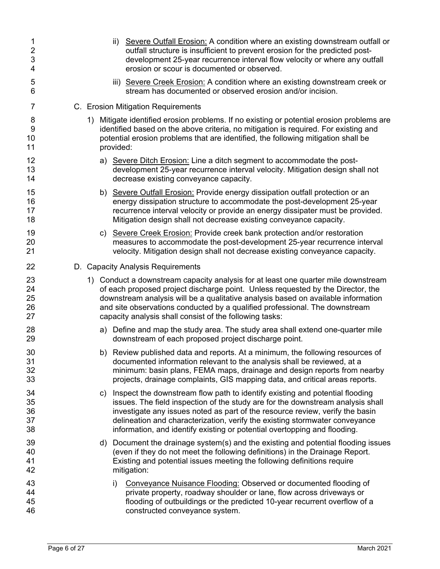| 1<br>$\overline{2}$<br>3<br>4 |    | Severe Outfall Erosion: A condition where an existing downstream outfall or<br>ii)<br>outfall structure is insufficient to prevent erosion for the predicted post-<br>development 25-year recurrence interval flow velocity or where any outfall<br>erosion or scour is documented or observed.                                                                                                              |
|-------------------------------|----|--------------------------------------------------------------------------------------------------------------------------------------------------------------------------------------------------------------------------------------------------------------------------------------------------------------------------------------------------------------------------------------------------------------|
| 5<br>6                        |    | iii) Severe Creek Erosion: A condition where an existing downstream creek or<br>stream has documented or observed erosion and/or incision.                                                                                                                                                                                                                                                                   |
| 7                             |    | C. Erosion Mitigation Requirements                                                                                                                                                                                                                                                                                                                                                                           |
| 8<br>9<br>10<br>11            |    | 1) Mitigate identified erosion problems. If no existing or potential erosion problems are<br>identified based on the above criteria, no mitigation is required. For existing and<br>potential erosion problems that are identified, the following mitigation shall be<br>provided:                                                                                                                           |
| 12<br>13<br>14                |    | a) Severe Ditch Erosion: Line a ditch segment to accommodate the post-<br>development 25-year recurrence interval velocity. Mitigation design shall not<br>decrease existing conveyance capacity.                                                                                                                                                                                                            |
| 15<br>16<br>17<br>18          |    | b) Severe Outfall Erosion: Provide energy dissipation outfall protection or an<br>energy dissipation structure to accommodate the post-development 25-year<br>recurrence interval velocity or provide an energy dissipater must be provided.<br>Mitigation design shall not decrease existing conveyance capacity.                                                                                           |
| 19<br>20<br>21                |    | c) Severe Creek Erosion: Provide creek bank protection and/or restoration<br>measures to accommodate the post-development 25-year recurrence interval<br>velocity. Mitigation design shall not decrease existing conveyance capacity.                                                                                                                                                                        |
| 22                            |    | D. Capacity Analysis Requirements                                                                                                                                                                                                                                                                                                                                                                            |
| 23<br>24<br>25<br>26<br>27    |    | 1) Conduct a downstream capacity analysis for at least one quarter mile downstream<br>of each proposed project discharge point. Unless requested by the Director, the<br>downstream analysis will be a qualitative analysis based on available information<br>and site observations conducted by a qualified professional. The downstream<br>capacity analysis shall consist of the following tasks:         |
| 28<br>29                      |    | a) Define and map the study area. The study area shall extend one-quarter mile<br>downstream of each proposed project discharge point.                                                                                                                                                                                                                                                                       |
| 30<br>31<br>32<br>33          |    | b) Review published data and reports. At a minimum, the following resources of<br>documented information relevant to the analysis shall be reviewed, at a<br>minimum: basin plans, FEMA maps, drainage and design reports from nearby<br>projects, drainage complaints, GIS mapping data, and critical areas reports.                                                                                        |
| 34<br>35<br>36<br>37<br>38    | C) | Inspect the downstream flow path to identify existing and potential flooding<br>issues. The field inspection of the study are for the downstream analysis shall<br>investigate any issues noted as part of the resource review, verify the basin<br>delineation and characterization, verify the existing stormwater conveyance<br>information, and identify existing or potential overtopping and flooding. |
| 39<br>40<br>41<br>42          |    | d) Document the drainage system(s) and the existing and potential flooding issues<br>(even if they do not meet the following definitions) in the Drainage Report.<br>Existing and potential issues meeting the following definitions require<br>mitigation:                                                                                                                                                  |
| 43<br>44<br>45<br>46          |    | Conveyance Nuisance Flooding: Observed or documented flooding of<br>i)<br>private property, roadway shoulder or lane, flow across driveways or<br>flooding of outbuildings or the predicted 10-year recurrent overflow of a<br>constructed conveyance system.                                                                                                                                                |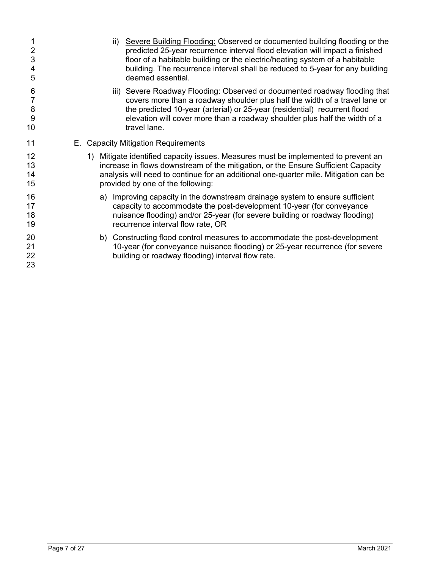| $\overline{2}$<br>3<br>4<br>5 | ii)<br>deemed essential.            | Severe Building Flooding: Observed or documented building flooding or the<br>predicted 25-year recurrence interval flood elevation will impact a finished<br>floor of a habitable building or the electric/heating system of a habitable<br>building. The recurrence interval shall be reduced to 5-year for any building |
|-------------------------------|-------------------------------------|---------------------------------------------------------------------------------------------------------------------------------------------------------------------------------------------------------------------------------------------------------------------------------------------------------------------------|
| 6<br>8<br>9<br>10             | travel lane.                        | iii) Severe Roadway Flooding: Observed or documented roadway flooding that<br>covers more than a roadway shoulder plus half the width of a travel lane or<br>the predicted 10-year (arterial) or 25-year (residential) recurrent flood<br>elevation will cover more than a roadway shoulder plus half the width of a      |
| 11                            | E. Capacity Mitigation Requirements |                                                                                                                                                                                                                                                                                                                           |
| 12<br>13<br>14<br>15          | provided by one of the following:   | 1) Mitigate identified capacity issues. Measures must be implemented to prevent an<br>increase in flows downstream of the mitigation, or the Ensure Sufficient Capacity<br>analysis will need to continue for an additional one-quarter mile. Mitigation can be                                                           |
| 16<br>17<br>18<br>19          | recurrence interval flow rate, OR   | a) Improving capacity in the downstream drainage system to ensure sufficient<br>capacity to accommodate the post-development 10-year (for conveyance<br>nuisance flooding) and/or 25-year (for severe building or roadway flooding)                                                                                       |
| 20<br>21<br>22<br>23          |                                     | b) Constructing flood control measures to accommodate the post-development<br>10-year (for conveyance nuisance flooding) or 25-year recurrence (for severe<br>building or roadway flooding) interval flow rate.                                                                                                           |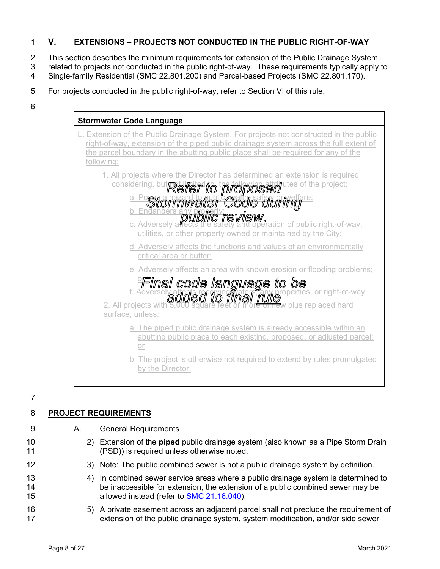## 1 **V. EXTENSIONS – PROJECTS NOT CONDUCTED IN THE PUBLIC RIGHT-OF-WAY**

- 2 This section describes the minimum requirements for extension of the Public Drainage System
- 3 related to projects not conducted in the public right-of-way. These requirements typically apply to
- 4 Single-family Residential (SMC 22.801.200) and Parcel-based Projects (SMC 22.801.170).
- 5 For projects conducted in the public right-of-way, refer to Section VI of this rule.
- 6



7

# 8 **PROJECT REQUIREMENTS**

9 A. General Requirements

- 10 2) Extension of the **piped** public drainage system (also known as a Pipe Storm Drain 11 (PSD)) is required unless otherwise noted.
- 12 3) Note: The public combined sewer is not a public drainage system by definition.
- 13 4) In combined sewer service areas where a public drainage system is determined to 14 be inaccessible for extension, the extension of a public combined sewer may be 15 allowed instead (refer to SMC 21.16.040).
- 16 5) A private easement across an adjacent parcel shall not preclude the requirement of 17 extension of the public drainage system, system modification, and/or side sewer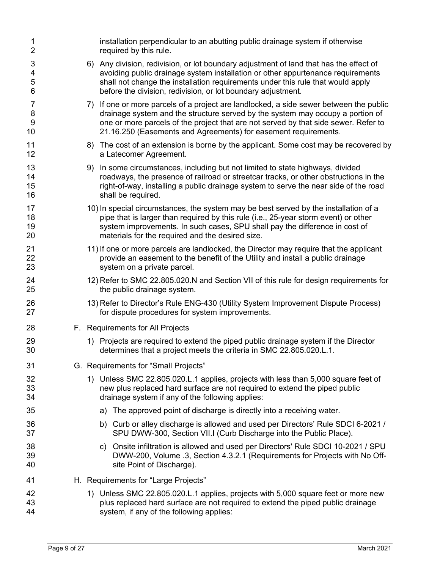| 1<br>$\overline{2}$              | installation perpendicular to an abutting public drainage system if otherwise<br>required by this rule.                                                                                                                                                                                                                            |
|----------------------------------|------------------------------------------------------------------------------------------------------------------------------------------------------------------------------------------------------------------------------------------------------------------------------------------------------------------------------------|
| 3<br>4<br>5<br>6                 | 6) Any division, redivision, or lot boundary adjustment of land that has the effect of<br>avoiding public drainage system installation or other appurtenance requirements<br>shall not change the installation requirements under this rule that would apply<br>before the division, redivision, or lot boundary adjustment.       |
| 7<br>8<br>$\boldsymbol{9}$<br>10 | 7) If one or more parcels of a project are landlocked, a side sewer between the public<br>drainage system and the structure served by the system may occupy a portion of<br>one or more parcels of the project that are not served by that side sewer. Refer to<br>21.16.250 (Easements and Agreements) for easement requirements. |
| 11<br>12                         | 8) The cost of an extension is borne by the applicant. Some cost may be recovered by<br>a Latecomer Agreement.                                                                                                                                                                                                                     |
| 13<br>14<br>15<br>16             | 9) In some circumstances, including but not limited to state highways, divided<br>roadways, the presence of railroad or streetcar tracks, or other obstructions in the<br>right-of-way, installing a public drainage system to serve the near side of the road<br>shall be required.                                               |
| 17<br>18<br>19<br>20             | 10) In special circumstances, the system may be best served by the installation of a<br>pipe that is larger than required by this rule (i.e., 25-year storm event) or other<br>system improvements. In such cases, SPU shall pay the difference in cost of<br>materials for the required and the desired size.                     |
| 21<br>22<br>23                   | 11) If one or more parcels are landlocked, the Director may require that the applicant<br>provide an easement to the benefit of the Utility and install a public drainage<br>system on a private parcel.                                                                                                                           |
| 24<br>25                         | 12) Refer to SMC 22.805.020.N and Section VII of this rule for design requirements for<br>the public drainage system.                                                                                                                                                                                                              |
| 26<br>27                         | 13) Refer to Director's Rule ENG-430 (Utility System Improvement Dispute Process)<br>for dispute procedures for system improvements.                                                                                                                                                                                               |
| 28                               | F. Requirements for All Projects                                                                                                                                                                                                                                                                                                   |
| 29<br>30                         | 1) Projects are required to extend the piped public drainage system if the Director<br>determines that a project meets the criteria in SMC 22.805.020.L.1.                                                                                                                                                                         |
| 31                               | G. Requirements for "Small Projects"                                                                                                                                                                                                                                                                                               |
| 32<br>33<br>34                   | 1) Unless SMC 22.805.020.L.1 applies, projects with less than 5,000 square feet of<br>new plus replaced hard surface are not required to extend the piped public<br>drainage system if any of the following applies:                                                                                                               |
| 35                               | a) The approved point of discharge is directly into a receiving water.                                                                                                                                                                                                                                                             |
| 36<br>37                         | b) Curb or alley discharge is allowed and used per Directors' Rule SDCI 6-2021 /<br>SPU DWW-300, Section VII.I (Curb Discharge into the Public Place).                                                                                                                                                                             |
| 38<br>39<br>40                   | c) Onsite infiltration is allowed and used per Directors' Rule SDCI 10-2021 / SPU<br>DWW-200, Volume .3, Section 4.3.2.1 (Requirements for Projects with No Off-<br>site Point of Discharge).                                                                                                                                      |
| 41                               | H. Requirements for "Large Projects"                                                                                                                                                                                                                                                                                               |
| 42<br>43<br>44                   | 1) Unless SMC 22.805.020.L.1 applies, projects with 5,000 square feet or more new<br>plus replaced hard surface are not required to extend the piped public drainage<br>system, if any of the following applies:                                                                                                                   |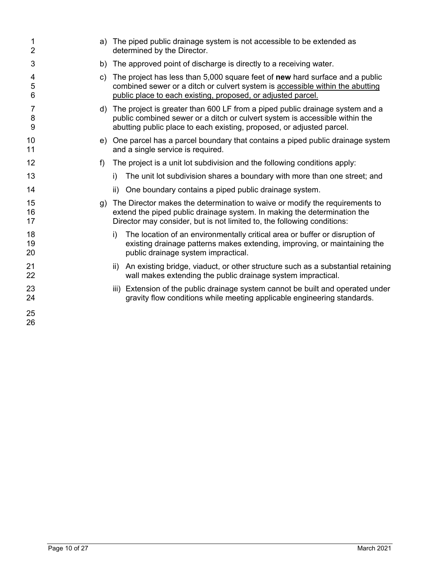| 1<br>$\overline{2}$ |    | a) The piped public drainage system is not accessible to be extended as<br>determined by the Director.                                                                                                                                  |  |  |
|---------------------|----|-----------------------------------------------------------------------------------------------------------------------------------------------------------------------------------------------------------------------------------------|--|--|
| 3                   |    | b) The approved point of discharge is directly to a receiving water.                                                                                                                                                                    |  |  |
| 4<br>5<br>6         |    | c) The project has less than 5,000 square feet of new hard surface and a public<br>combined sewer or a ditch or culvert system is accessible within the abutting<br>public place to each existing, proposed, or adjusted parcel.        |  |  |
| 7<br>8<br>9         |    | d) The project is greater than 600 LF from a piped public drainage system and a<br>public combined sewer or a ditch or culvert system is accessible within the<br>abutting public place to each existing, proposed, or adjusted parcel. |  |  |
| 10<br>11            |    | e) One parcel has a parcel boundary that contains a piped public drainage system<br>and a single service is required.                                                                                                                   |  |  |
| 12                  | f  | The project is a unit lot subdivision and the following conditions apply:                                                                                                                                                               |  |  |
| 13                  |    | The unit lot subdivision shares a boundary with more than one street; and<br>i)                                                                                                                                                         |  |  |
| 14                  |    | One boundary contains a piped public drainage system.<br>ii)                                                                                                                                                                            |  |  |
| 15<br>16<br>17      | g) | The Director makes the determination to waive or modify the requirements to<br>extend the piped public drainage system. In making the determination the<br>Director may consider, but is not limited to, the following conditions:      |  |  |
| 18<br>19<br>20      |    | The location of an environmentally critical area or buffer or disruption of<br>i)<br>existing drainage patterns makes extending, improving, or maintaining the<br>public drainage system impractical.                                   |  |  |
| 21<br>22            |    | An existing bridge, viaduct, or other structure such as a substantial retaining<br>ii)<br>wall makes extending the public drainage system impractical.                                                                                  |  |  |
| 23<br>24            |    | iii) Extension of the public drainage system cannot be built and operated under<br>gravity flow conditions while meeting applicable engineering standards.                                                                              |  |  |
| 25<br>26            |    |                                                                                                                                                                                                                                         |  |  |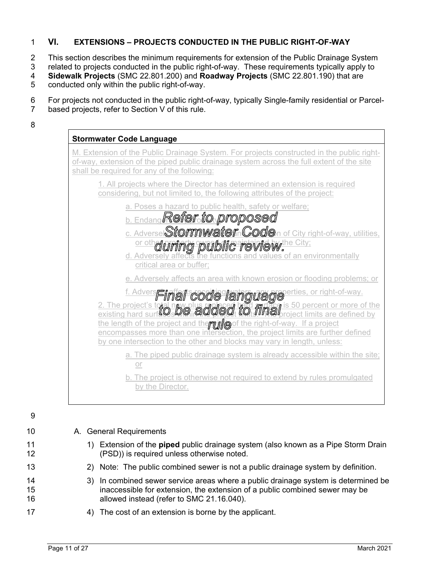## 1 **VI. EXTENSIONS – PROJECTS CONDUCTED IN THE PUBLIC RIGHT-OF-WAY**

2 This section describes the minimum requirements for extension of the Public Drainage System

3 related to projects conducted in the public right-of-way. These requirements typically apply to

4 **Sidewalk Projects** (SMC 22.801.200) and **Roadway Projects** (SMC 22.801.190) that are

5 conducted only within the public right-of-way.

### 6 For projects not conducted in the public right-of-way, typically Single-family residential or Parcel-

7 based projects, refer to Section V of this rule.

8

| <b>Stormwater Code Language</b>                                                                                                                                                                                                                                                                                                                                                                                                                                |
|----------------------------------------------------------------------------------------------------------------------------------------------------------------------------------------------------------------------------------------------------------------------------------------------------------------------------------------------------------------------------------------------------------------------------------------------------------------|
| M. Extension of the Public Drainage System. For projects constructed in the public right-<br>of-way, extension of the piped public drainage system across the full extent of the site<br>shall be required for any of the following:                                                                                                                                                                                                                           |
| 1. All projects where the Director has determined an extension is required<br>considering, but not limited to, the following attributes of the project:                                                                                                                                                                                                                                                                                                        |
| a. Poses a hazard to public health, safety or welfare;<br><b>b. Endang Refer to proposed</b><br>c. Adversel Stormwater. Coden of City right-of-way, utilities,<br>or otherwing public review!<br>d. Adversely affects the functions and values of an environmentally<br>critical area or buffer;                                                                                                                                                               |
| e. Adversely affects an area with known erosion or flooding problems; or                                                                                                                                                                                                                                                                                                                                                                                       |
| t. Adverseinal code language corright-of-way.<br>2. The project's total have business in the discriminal is 50 percent or more of the existing hard surface in a did a did a film all project limits are defined by<br>the length of the project and therrun es of the right-of-way. If a project<br>encompasses more than one intersection, the project limits are further defined<br>by one intersection to the other and blocks may vary in length, unless: |
| a. The piped public drainage system is already accessible within the site;<br>or                                                                                                                                                                                                                                                                                                                                                                               |

b. The project is otherwise not required to extend by rules promulgated by the Director.

9

10 A. General Requirements 11 1) Extension of the **piped** public drainage system (also known as a Pipe Storm Drain 12 (PSD)) is required unless otherwise noted. 13 2) Note: The public combined sewer is not a public drainage system by definition. 14 3) In combined sewer service areas where a public drainage system is determined be 15 inaccessible for extension, the extension of a public combined sewer may be 16 allowed instead (refer to SMC 21.16.040). 17 4) The cost of an extension is borne by the applicant.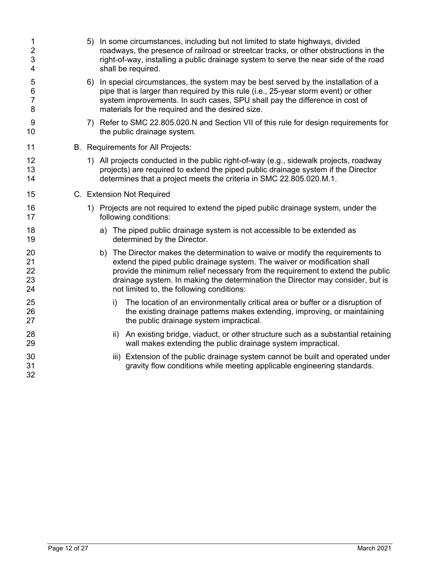| 1<br>$\overline{2}$<br>3<br>4     |  |     | 5) In some circumstances, including but not limited to state highways, divided<br>roadways, the presence of railroad or streetcar tracks, or other obstructions in the<br>right-of-way, installing a public drainage system to serve the near side of the road<br>shall be required.                                                                                         |
|-----------------------------------|--|-----|------------------------------------------------------------------------------------------------------------------------------------------------------------------------------------------------------------------------------------------------------------------------------------------------------------------------------------------------------------------------------|
| 5<br>$\,6$<br>$\overline{7}$<br>8 |  |     | 6) In special circumstances, the system may be best served by the installation of a<br>pipe that is larger than required by this rule (i.e., 25-year storm event) or other<br>system improvements. In such cases, SPU shall pay the difference in cost of<br>materials for the required and the desired size.                                                                |
| 9<br>10                           |  |     | 7) Refer to SMC 22.805.020.N and Section VII of this rule for design requirements for<br>the public drainage system.                                                                                                                                                                                                                                                         |
| 11                                |  |     | B. Requirements for All Projects:                                                                                                                                                                                                                                                                                                                                            |
| 12<br>13<br>14                    |  |     | 1) All projects conducted in the public right-of-way (e.g., sidewalk projects, roadway<br>projects) are required to extend the piped public drainage system if the Director<br>determines that a project meets the criteria in SMC 22.805.020.M.1.                                                                                                                           |
| 15                                |  |     | C. Extension Not Required                                                                                                                                                                                                                                                                                                                                                    |
| 16<br>17                          |  |     | 1) Projects are not required to extend the piped public drainage system, under the<br>following conditions:                                                                                                                                                                                                                                                                  |
| 18<br>19                          |  |     | a) The piped public drainage system is not accessible to be extended as<br>determined by the Director.                                                                                                                                                                                                                                                                       |
| 20<br>21<br>22<br>23<br>24        |  |     | b) The Director makes the determination to waive or modify the requirements to<br>extend the piped public drainage system. The waiver or modification shall<br>provide the minimum relief necessary from the requirement to extend the public<br>drainage system. In making the determination the Director may consider, but is<br>not limited to, the following conditions: |
| 25<br>26<br>27                    |  | i)  | The location of an environmentally critical area or buffer or a disruption of<br>the existing drainage patterns makes extending, improving, or maintaining<br>the public drainage system impractical.                                                                                                                                                                        |
| 28<br>29                          |  | ii) | An existing bridge, viaduct, or other structure such as a substantial retaining<br>wall makes extending the public drainage system impractical.                                                                                                                                                                                                                              |
| 30<br>31<br>32                    |  |     | iii) Extension of the public drainage system cannot be built and operated under<br>gravity flow conditions while meeting applicable engineering standards.                                                                                                                                                                                                                   |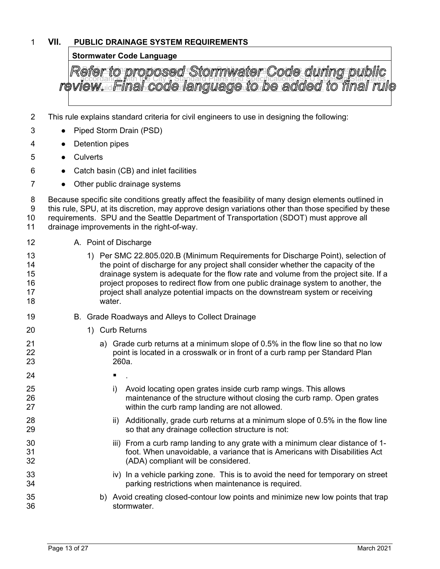## 1 **VII. PUBLIC DRAINAGE SYSTEM REQUIREMENTS**

## **Stormwater Code Language**

Refer to proposed Stormwater Code during public accordance with the City's Standard Plans and Specifications, SPU's Design Standards, and Guidelines, and as specified in rules promulgated by the Director.

- 2 This rule explains standard criteria for civil engineers to use in designing the following:
- 3 Piped Storm Drain (PSD)
- 4 Detention pipes
- 5 Culverts
- 6 **•** Catch basin (CB) and inlet facilities
- 7 Other public drainage systems

8 Because specific site conditions greatly affect the feasibility of many design elements outlined in 9 this rule, SPU, at its discretion, may approve design variations other than those specified by these 10 requirements. SPU and the Seattle Department of Transportation (SDOT) must approve all 11 drainage improvements in the right-of-way.

- 12 A. Point of Discharge
- 13 1) Per SMC 22.805.020.B (Minimum Requirements for Discharge Point), selection of 14 the point of discharge for any project shall consider whether the capacity of the 15 drainage system is adequate for the flow rate and volume from the project site. If a 16 project proposes to redirect flow from one public drainage system to another, the 17 project shall analyze potential impacts on the downstream system or receiving 18 water.
- 19 B. Grade Roadways and Alleys to Collect Drainage
- 20 1) Curb Returns
- 21 **a**) Grade curb returns at a minimum slope of 0.5% in the flow line so that no low 22 **point is located in a crosswalk or in front of a curb ramp per Standard Plan** 23 260a.
- $24$   $\blacksquare$  .
- 25 i) Avoid locating open grates inside curb ramp wings. This allows 26 maintenance of the structure without closing the curb ramp. Open grates 27 within the curb ramp landing are not allowed.
- 28 ii) Additionally, grade curb returns at a minimum slope of 0.5% in the flow line 29 so that any drainage collection structure is not:
- 30 iii) From a curb ramp landing to any grate with a minimum clear distance of 1-31 foot. When unavoidable, a variance that is Americans with Disabilities Act 32 (ADA) compliant will be considered.
- 33 iv) In a vehicle parking zone. This is to avoid the need for temporary on street 34 parking restrictions when maintenance is required.
- 35 b) Avoid creating closed-contour low points and minimize new low points that trap 36 stormwater.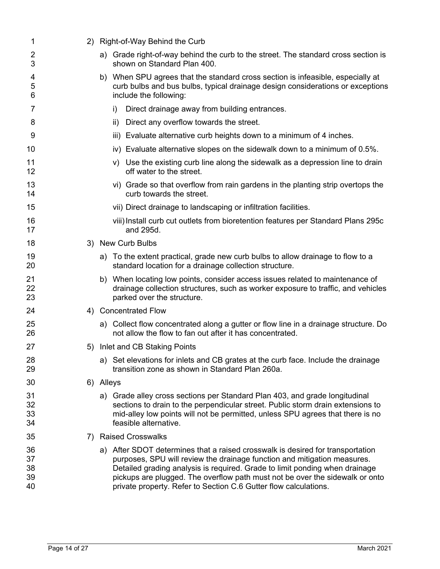| 1                          |           | 2) Right-of-Way Behind the Curb                                                                                                                                                                                                                                                                                                                                                               |  |
|----------------------------|-----------|-----------------------------------------------------------------------------------------------------------------------------------------------------------------------------------------------------------------------------------------------------------------------------------------------------------------------------------------------------------------------------------------------|--|
| 2<br>3                     |           | a) Grade right-of-way behind the curb to the street. The standard cross section is<br>shown on Standard Plan 400.                                                                                                                                                                                                                                                                             |  |
| 4<br>5<br>6                |           | b) When SPU agrees that the standard cross section is infeasible, especially at<br>curb bulbs and bus bulbs, typical drainage design considerations or exceptions<br>include the following:                                                                                                                                                                                                   |  |
| 7                          |           | Direct drainage away from building entrances.<br>i)                                                                                                                                                                                                                                                                                                                                           |  |
| 8                          |           | Direct any overflow towards the street.<br>ii)                                                                                                                                                                                                                                                                                                                                                |  |
| 9                          |           | iii) Evaluate alternative curb heights down to a minimum of 4 inches.                                                                                                                                                                                                                                                                                                                         |  |
| 10                         |           | iv) Evaluate alternative slopes on the sidewalk down to a minimum of 0.5%.                                                                                                                                                                                                                                                                                                                    |  |
| 11<br>12                   |           | v) Use the existing curb line along the sidewalk as a depression line to drain<br>off water to the street.                                                                                                                                                                                                                                                                                    |  |
| 13<br>14                   |           | vi) Grade so that overflow from rain gardens in the planting strip overtops the<br>curb towards the street.                                                                                                                                                                                                                                                                                   |  |
| 15                         |           | vii) Direct drainage to landscaping or infiltration facilities.                                                                                                                                                                                                                                                                                                                               |  |
| 16<br>17                   |           | viii) Install curb cut outlets from bioretention features per Standard Plans 295c<br>and 295d.                                                                                                                                                                                                                                                                                                |  |
| 18                         |           | 3) New Curb Bulbs                                                                                                                                                                                                                                                                                                                                                                             |  |
| 19<br>20                   |           | a) To the extent practical, grade new curb bulbs to allow drainage to flow to a<br>standard location for a drainage collection structure.                                                                                                                                                                                                                                                     |  |
| 21<br>22<br>23             |           | b) When locating low points, consider access issues related to maintenance of<br>drainage collection structures, such as worker exposure to traffic, and vehicles<br>parked over the structure.                                                                                                                                                                                               |  |
| 24                         |           | 4) Concentrated Flow                                                                                                                                                                                                                                                                                                                                                                          |  |
| 25<br>26                   |           | a) Collect flow concentrated along a gutter or flow line in a drainage structure. Do<br>not allow the flow to fan out after it has concentrated.                                                                                                                                                                                                                                              |  |
| 27                         | 5)        | Inlet and CB Staking Points                                                                                                                                                                                                                                                                                                                                                                   |  |
| 28<br>29                   |           | a) Set elevations for inlets and CB grates at the curb face. Include the drainage<br>transition zone as shown in Standard Plan 260a.                                                                                                                                                                                                                                                          |  |
| 30                         | 6) Alleys |                                                                                                                                                                                                                                                                                                                                                                                               |  |
| 31<br>32<br>33<br>34       |           | a) Grade alley cross sections per Standard Plan 403, and grade longitudinal<br>sections to drain to the perpendicular street. Public storm drain extensions to<br>mid-alley low points will not be permitted, unless SPU agrees that there is no<br>feasible alternative.                                                                                                                     |  |
| 35                         | 7)        | <b>Raised Crosswalks</b>                                                                                                                                                                                                                                                                                                                                                                      |  |
| 36<br>37<br>38<br>39<br>40 |           | a) After SDOT determines that a raised crosswalk is desired for transportation<br>purposes, SPU will review the drainage function and mitigation measures.<br>Detailed grading analysis is required. Grade to limit ponding when drainage<br>pickups are plugged. The overflow path must not be over the sidewalk or onto<br>private property. Refer to Section C.6 Gutter flow calculations. |  |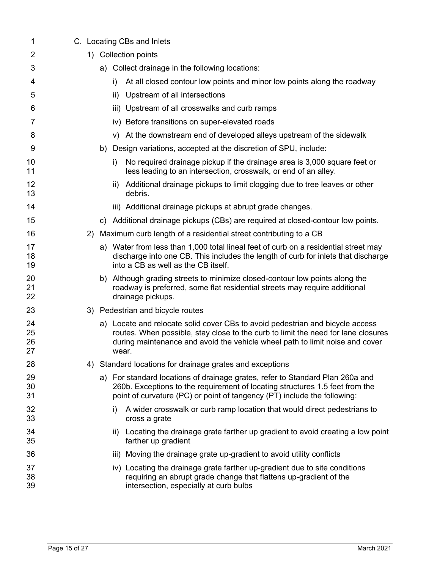| 1                    |  |    | C. Locating CBs and Inlets                                                                                                                                                                                                                                  |
|----------------------|--|----|-------------------------------------------------------------------------------------------------------------------------------------------------------------------------------------------------------------------------------------------------------------|
| 2                    |  |    | 1) Collection points                                                                                                                                                                                                                                        |
| 3                    |  |    | a) Collect drainage in the following locations:                                                                                                                                                                                                             |
| 4                    |  |    | At all closed contour low points and minor low points along the roadway<br>i)                                                                                                                                                                               |
| 5                    |  |    | Upstream of all intersections<br>ii)                                                                                                                                                                                                                        |
| 6                    |  |    | Upstream of all crosswalks and curb ramps<br>iii)                                                                                                                                                                                                           |
| 7                    |  |    | iv) Before transitions on super-elevated roads                                                                                                                                                                                                              |
| 8                    |  |    | v) At the downstream end of developed alleys upstream of the sidewalk                                                                                                                                                                                       |
| 9                    |  |    | b) Design variations, accepted at the discretion of SPU, include:                                                                                                                                                                                           |
| 10<br>11             |  |    | No required drainage pickup if the drainage area is 3,000 square feet or<br>i)<br>less leading to an intersection, crosswalk, or end of an alley.                                                                                                           |
| 12<br>13             |  |    | Additional drainage pickups to limit clogging due to tree leaves or other<br>ii)<br>debris.                                                                                                                                                                 |
| 14                   |  |    | iii) Additional drainage pickups at abrupt grade changes.                                                                                                                                                                                                   |
| 15                   |  | C) | Additional drainage pickups (CBs) are required at closed-contour low points.                                                                                                                                                                                |
| 16                   |  |    | 2) Maximum curb length of a residential street contributing to a CB                                                                                                                                                                                         |
| 17<br>18<br>19       |  |    | a) Water from less than 1,000 total lineal feet of curb on a residential street may<br>discharge into one CB. This includes the length of curb for inlets that discharge<br>into a CB as well as the CB itself.                                             |
| 20<br>21<br>22       |  |    | b) Although grading streets to minimize closed-contour low points along the<br>roadway is preferred, some flat residential streets may require additional<br>drainage pickups.                                                                              |
| 23                   |  |    | 3) Pedestrian and bicycle routes                                                                                                                                                                                                                            |
| 24<br>25<br>26<br>27 |  |    | a) Locate and relocate solid cover CBs to avoid pedestrian and bicycle access<br>routes. When possible, stay close to the curb to limit the need for lane closures<br>during maintenance and avoid the vehicle wheel path to limit noise and cover<br>wear. |
| 28                   |  |    | 4) Standard locations for drainage grates and exceptions                                                                                                                                                                                                    |
| 29<br>30<br>31       |  |    | a) For standard locations of drainage grates, refer to Standard Plan 260a and<br>260b. Exceptions to the requirement of locating structures 1.5 feet from the<br>point of curvature (PC) or point of tangency (PT) include the following:                   |
| 32<br>33             |  |    | A wider crosswalk or curb ramp location that would direct pedestrians to<br>i)<br>cross a grate                                                                                                                                                             |
| 34<br>35             |  |    | Locating the drainage grate farther up gradient to avoid creating a low point<br>ii)<br>farther up gradient                                                                                                                                                 |
| 36                   |  |    | iii) Moving the drainage grate up-gradient to avoid utility conflicts                                                                                                                                                                                       |
| 37<br>38<br>39       |  |    | iv) Locating the drainage grate farther up-gradient due to site conditions<br>requiring an abrupt grade change that flattens up-gradient of the<br>intersection, especially at curb bulbs                                                                   |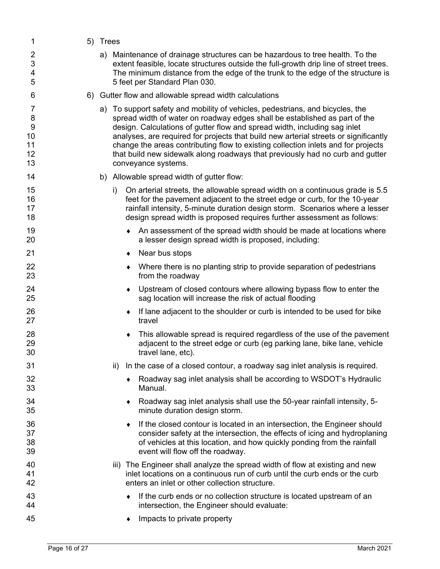| 1                                   | 5) Trees |     |                                                                                                                                                                                                                                                                                                                                                                                                                                                                                                                               |
|-------------------------------------|----------|-----|-------------------------------------------------------------------------------------------------------------------------------------------------------------------------------------------------------------------------------------------------------------------------------------------------------------------------------------------------------------------------------------------------------------------------------------------------------------------------------------------------------------------------------|
| 2<br>3<br>4<br>5                    |          |     | a) Maintenance of drainage structures can be hazardous to tree health. To the<br>extent feasible, locate structures outside the full-growth drip line of street trees.<br>The minimum distance from the edge of the trunk to the edge of the structure is<br>5 feet per Standard Plan 030.                                                                                                                                                                                                                                    |
| 6                                   |          |     | 6) Gutter flow and allowable spread width calculations                                                                                                                                                                                                                                                                                                                                                                                                                                                                        |
| 7<br>8<br>9<br>10<br>11<br>12<br>13 |          |     | a) To support safety and mobility of vehicles, pedestrians, and bicycles, the<br>spread width of water on roadway edges shall be established as part of the<br>design. Calculations of gutter flow and spread width, including sag inlet<br>analyses, are required for projects that build new arterial streets or significantly<br>change the areas contributing flow to existing collection inlets and for projects<br>that build new sidewalk along roadways that previously had no curb and gutter<br>conveyance systems. |
| 14                                  |          |     | b) Allowable spread width of gutter flow:                                                                                                                                                                                                                                                                                                                                                                                                                                                                                     |
| 15<br>16<br>17<br>18                |          | i)  | On arterial streets, the allowable spread width on a continuous grade is 5.5<br>feet for the pavement adjacent to the street edge or curb, for the 10-year<br>rainfall intensity, 5-minute duration design storm. Scenarios where a lesser<br>design spread width is proposed requires further assessment as follows:                                                                                                                                                                                                         |
| 19<br>20                            |          |     | An assessment of the spread width should be made at locations where<br>a lesser design spread width is proposed, including:                                                                                                                                                                                                                                                                                                                                                                                                   |
| 21                                  |          |     | Near bus stops                                                                                                                                                                                                                                                                                                                                                                                                                                                                                                                |
| 22<br>23                            |          |     | Where there is no planting strip to provide separation of pedestrians<br>from the roadway                                                                                                                                                                                                                                                                                                                                                                                                                                     |
| 24<br>25                            |          |     | Upstream of closed contours where allowing bypass flow to enter the<br>sag location will increase the risk of actual flooding                                                                                                                                                                                                                                                                                                                                                                                                 |
| 26<br>27                            |          | ٠   | If lane adjacent to the shoulder or curb is intended to be used for bike<br>travel                                                                                                                                                                                                                                                                                                                                                                                                                                            |
| 28<br>29<br>30                      |          | ٠   | This allowable spread is required regardless of the use of the pavement<br>adjacent to the street edge or curb (eg parking lane, bike lane, vehicle<br>travel lane, etc).                                                                                                                                                                                                                                                                                                                                                     |
| 31                                  |          | ii) | In the case of a closed contour, a roadway sag inlet analysis is required.                                                                                                                                                                                                                                                                                                                                                                                                                                                    |
| 32<br>33                            |          |     | Roadway sag inlet analysis shall be according to WSDOT's Hydraulic<br>Manual.                                                                                                                                                                                                                                                                                                                                                                                                                                                 |
| 34<br>35                            |          | ٠   | Roadway sag inlet analysis shall use the 50-year rainfall intensity, 5-<br>minute duration design storm.                                                                                                                                                                                                                                                                                                                                                                                                                      |
| 36<br>37<br>38<br>39                |          |     | If the closed contour is located in an intersection, the Engineer should<br>consider safety at the intersection, the effects of icing and hydroplaning<br>of vehicles at this location, and how quickly ponding from the rainfall<br>event will flow off the roadway.                                                                                                                                                                                                                                                         |
| 40<br>41<br>42                      |          |     | iii) The Engineer shall analyze the spread width of flow at existing and new<br>inlet locations on a continuous run of curb until the curb ends or the curb<br>enters an inlet or other collection structure.                                                                                                                                                                                                                                                                                                                 |
| 43<br>44                            |          |     | If the curb ends or no collection structure is located upstream of an<br>intersection, the Engineer should evaluate:                                                                                                                                                                                                                                                                                                                                                                                                          |
| 45                                  |          |     | Impacts to private property                                                                                                                                                                                                                                                                                                                                                                                                                                                                                                   |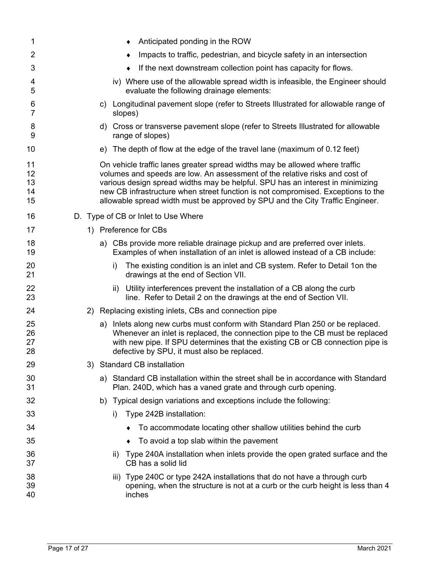| 1                          | Anticipated ponding in the ROW                                                                                                                                                                                                                                                                                                                                                                                    |
|----------------------------|-------------------------------------------------------------------------------------------------------------------------------------------------------------------------------------------------------------------------------------------------------------------------------------------------------------------------------------------------------------------------------------------------------------------|
| 2                          | Impacts to traffic, pedestrian, and bicycle safety in an intersection                                                                                                                                                                                                                                                                                                                                             |
| 3                          | If the next downstream collection point has capacity for flows.                                                                                                                                                                                                                                                                                                                                                   |
| 4<br>5                     | iv) Where use of the allowable spread width is infeasible, the Engineer should<br>evaluate the following drainage elements:                                                                                                                                                                                                                                                                                       |
| 6<br>7                     | c) Longitudinal pavement slope (refer to Streets Illustrated for allowable range of<br>slopes)                                                                                                                                                                                                                                                                                                                    |
| 8<br>9                     | d) Cross or transverse pavement slope (refer to Streets Illustrated for allowable<br>range of slopes)                                                                                                                                                                                                                                                                                                             |
| 10                         | The depth of flow at the edge of the travel lane (maximum of 0.12 feet)<br>e)                                                                                                                                                                                                                                                                                                                                     |
| 11<br>12<br>13<br>14<br>15 | On vehicle traffic lanes greater spread widths may be allowed where traffic<br>volumes and speeds are low. An assessment of the relative risks and cost of<br>various design spread widths may be helpful. SPU has an interest in minimizing<br>new CB infrastructure when street function is not compromised. Exceptions to the<br>allowable spread width must be approved by SPU and the City Traffic Engineer. |
| 16                         | D. Type of CB or Inlet to Use Where                                                                                                                                                                                                                                                                                                                                                                               |
| 17                         | Preference for CBs<br>1)                                                                                                                                                                                                                                                                                                                                                                                          |
| 18<br>19                   | a) CBs provide more reliable drainage pickup and are preferred over inlets.<br>Examples of when installation of an inlet is allowed instead of a CB include:                                                                                                                                                                                                                                                      |
| 20<br>21                   | The existing condition is an inlet and CB system. Refer to Detail 1on the<br>i)<br>drawings at the end of Section VII.                                                                                                                                                                                                                                                                                            |
| 22<br>23                   | Utility interferences prevent the installation of a CB along the curb<br>ii)<br>line. Refer to Detail 2 on the drawings at the end of Section VII.                                                                                                                                                                                                                                                                |
| 24                         | 2) Replacing existing inlets, CBs and connection pipe                                                                                                                                                                                                                                                                                                                                                             |
| 25<br>26<br>27<br>28       | a) Inlets along new curbs must conform with Standard Plan 250 or be replaced.<br>Whenever an inlet is replaced, the connection pipe to the CB must be replaced<br>with new pipe. If SPU determines that the existing CB or CB connection pipe is<br>defective by SPU, it must also be replaced.                                                                                                                   |
| 29                         | 3) Standard CB installation                                                                                                                                                                                                                                                                                                                                                                                       |
| 30<br>31                   | a) Standard CB installation within the street shall be in accordance with Standard<br>Plan. 240D, which has a vaned grate and through curb opening.                                                                                                                                                                                                                                                               |
| 32                         | b) Typical design variations and exceptions include the following:                                                                                                                                                                                                                                                                                                                                                |
| 33                         | Type 242B installation:<br>i)                                                                                                                                                                                                                                                                                                                                                                                     |
| 34                         | To accommodate locating other shallow utilities behind the curb                                                                                                                                                                                                                                                                                                                                                   |
| 35                         | To avoid a top slab within the pavement                                                                                                                                                                                                                                                                                                                                                                           |
| 36<br>37                   | Type 240A installation when inlets provide the open grated surface and the<br>ii)<br>CB has a solid lid                                                                                                                                                                                                                                                                                                           |
| 38<br>39<br>40             | iii) Type 240C or type 242A installations that do not have a through curb<br>opening, when the structure is not at a curb or the curb height is less than 4<br>inches                                                                                                                                                                                                                                             |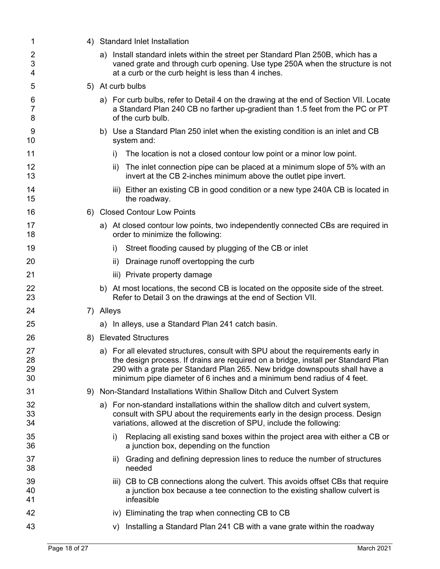| 1                        | 4) Standard Inlet Installation                                                                                                                                                                                                                                                                                                |
|--------------------------|-------------------------------------------------------------------------------------------------------------------------------------------------------------------------------------------------------------------------------------------------------------------------------------------------------------------------------|
| 2<br>3<br>4              | a) Install standard inlets within the street per Standard Plan 250B, which has a<br>vaned grate and through curb opening. Use type 250A when the structure is not<br>at a curb or the curb height is less than 4 inches.                                                                                                      |
| 5                        | 5) At curb bulbs                                                                                                                                                                                                                                                                                                              |
| 6<br>$\overline{7}$<br>8 | a) For curb bulbs, refer to Detail 4 on the drawing at the end of Section VII. Locate<br>a Standard Plan 240 CB no farther up-gradient than 1.5 feet from the PC or PT<br>of the curb bulb.                                                                                                                                   |
| 9<br>10                  | b) Use a Standard Plan 250 inlet when the existing condition is an inlet and CB<br>system and:                                                                                                                                                                                                                                |
| 11                       | The location is not a closed contour low point or a minor low point.<br>i)                                                                                                                                                                                                                                                    |
| 12<br>13                 | The inlet connection pipe can be placed at a minimum slope of 5% with an<br>ii)<br>invert at the CB 2-inches minimum above the outlet pipe invert.                                                                                                                                                                            |
| 14<br>15                 | iii) Either an existing CB in good condition or a new type 240A CB is located in<br>the roadway.                                                                                                                                                                                                                              |
| 16                       | 6) Closed Contour Low Points                                                                                                                                                                                                                                                                                                  |
| 17<br>18                 | a) At closed contour low points, two independently connected CBs are required in<br>order to minimize the following:                                                                                                                                                                                                          |
| 19                       | Street flooding caused by plugging of the CB or inlet<br>i)                                                                                                                                                                                                                                                                   |
| 20                       | Drainage runoff overtopping the curb<br>ii)                                                                                                                                                                                                                                                                                   |
| 21                       | iii) Private property damage                                                                                                                                                                                                                                                                                                  |
| 22<br>23                 | b) At most locations, the second CB is located on the opposite side of the street.<br>Refer to Detail 3 on the drawings at the end of Section VII.                                                                                                                                                                            |
| 24                       | 7) Alleys                                                                                                                                                                                                                                                                                                                     |
| 25                       | a) In alleys, use a Standard Plan 241 catch basin.                                                                                                                                                                                                                                                                            |
| 26                       | 8) Elevated Structures                                                                                                                                                                                                                                                                                                        |
| 27<br>28<br>29<br>30     | a) For all elevated structures, consult with SPU about the requirements early in<br>the design process. If drains are required on a bridge, install per Standard Plan<br>290 with a grate per Standard Plan 265. New bridge downspouts shall have a<br>minimum pipe diameter of 6 inches and a minimum bend radius of 4 feet. |
| 31                       | 9) Non-Standard Installations Within Shallow Ditch and Culvert System                                                                                                                                                                                                                                                         |
| 32<br>33<br>34           | a) For non-standard installations within the shallow ditch and culvert system,<br>consult with SPU about the requirements early in the design process. Design<br>variations, allowed at the discretion of SPU, include the following:                                                                                         |
| 35<br>36                 | Replacing all existing sand boxes within the project area with either a CB or<br>i)<br>a junction box, depending on the function                                                                                                                                                                                              |
| 37<br>38                 | Grading and defining depression lines to reduce the number of structures<br>ii)<br>needed                                                                                                                                                                                                                                     |
| 39<br>40<br>41           | iii) CB to CB connections along the culvert. This avoids offset CBs that require<br>a junction box because a tee connection to the existing shallow culvert is<br>infeasible                                                                                                                                                  |
| 42                       | iv) Eliminating the trap when connecting CB to CB                                                                                                                                                                                                                                                                             |
| 43                       | Installing a Standard Plan 241 CB with a vane grate within the roadway<br>V)                                                                                                                                                                                                                                                  |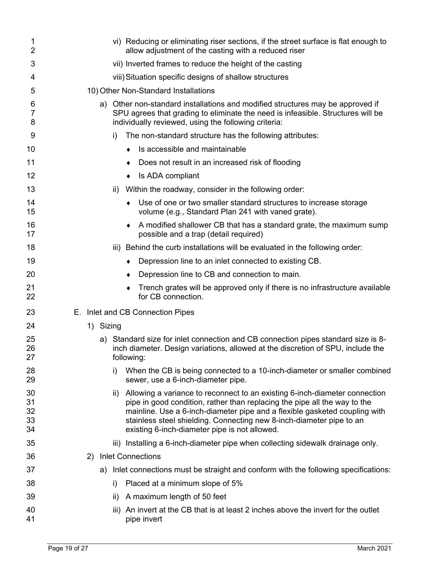| 1<br>$\overline{2}$        | vi) Reducing or eliminating riser sections, if the street surface is flat enough to<br>allow adjustment of the casting with a reduced riser                                                                                                                                                                                                                           |
|----------------------------|-----------------------------------------------------------------------------------------------------------------------------------------------------------------------------------------------------------------------------------------------------------------------------------------------------------------------------------------------------------------------|
| 3                          | vii) Inverted frames to reduce the height of the casting                                                                                                                                                                                                                                                                                                              |
| 4                          | viii) Situation specific designs of shallow structures                                                                                                                                                                                                                                                                                                                |
| 5                          | 10) Other Non-Standard Installations                                                                                                                                                                                                                                                                                                                                  |
| 6<br>7<br>8                | a) Other non-standard installations and modified structures may be approved if<br>SPU agrees that grading to eliminate the need is infeasible. Structures will be<br>individually reviewed, using the following criteria:                                                                                                                                             |
| 9                          | The non-standard structure has the following attributes:<br>i)                                                                                                                                                                                                                                                                                                        |
| 10                         | Is accessible and maintainable                                                                                                                                                                                                                                                                                                                                        |
| 11                         | Does not result in an increased risk of flooding                                                                                                                                                                                                                                                                                                                      |
| 12                         | Is ADA compliant<br>٠                                                                                                                                                                                                                                                                                                                                                 |
| 13                         | Within the roadway, consider in the following order:<br>ii)                                                                                                                                                                                                                                                                                                           |
| 14<br>15                   | Use of one or two smaller standard structures to increase storage<br>volume (e.g., Standard Plan 241 with vaned grate).                                                                                                                                                                                                                                               |
| 16<br>17                   | A modified shallower CB that has a standard grate, the maximum sump<br>possible and a trap (detail required)                                                                                                                                                                                                                                                          |
| 18                         | iii) Behind the curb installations will be evaluated in the following order:                                                                                                                                                                                                                                                                                          |
| 19                         | Depression line to an inlet connected to existing CB.<br>٠                                                                                                                                                                                                                                                                                                            |
| 20                         | Depression line to CB and connection to main.                                                                                                                                                                                                                                                                                                                         |
| 21<br>22                   | Trench grates will be approved only if there is no infrastructure available<br>for CB connection.                                                                                                                                                                                                                                                                     |
| 23                         | E. Inlet and CB Connection Pipes                                                                                                                                                                                                                                                                                                                                      |
| 24                         | 1) Sizing                                                                                                                                                                                                                                                                                                                                                             |
| 25<br>26<br>27             | a) Standard size for inlet connection and CB connection pipes standard size is 8-<br>inch diameter. Design variations, allowed at the discretion of SPU, include the<br>following:                                                                                                                                                                                    |
| 28<br>29                   | When the CB is being connected to a 10-inch-diameter or smaller combined<br>i)<br>sewer, use a 6-inch-diameter pipe.                                                                                                                                                                                                                                                  |
| 30<br>31<br>32<br>33<br>34 | Allowing a variance to reconnect to an existing 6-inch-diameter connection<br>ii)<br>pipe in good condition, rather than replacing the pipe all the way to the<br>mainline. Use a 6-inch-diameter pipe and a flexible gasketed coupling with<br>stainless steel shielding. Connecting new 8-inch-diameter pipe to an<br>existing 6-inch-diameter pipe is not allowed. |
| 35                         | iii) Installing a 6-inch-diameter pipe when collecting sidewalk drainage only.                                                                                                                                                                                                                                                                                        |
| 36                         | <b>Inlet Connections</b><br>2)                                                                                                                                                                                                                                                                                                                                        |
| 37                         | Inlet connections must be straight and conform with the following specifications:<br>a)                                                                                                                                                                                                                                                                               |
| 38                         | Placed at a minimum slope of 5%<br>i)                                                                                                                                                                                                                                                                                                                                 |
| 39                         | A maximum length of 50 feet<br>ii)                                                                                                                                                                                                                                                                                                                                    |
| 40                         | An invert at the CB that is at least 2 inches above the invert for the outlet<br>iii)                                                                                                                                                                                                                                                                                 |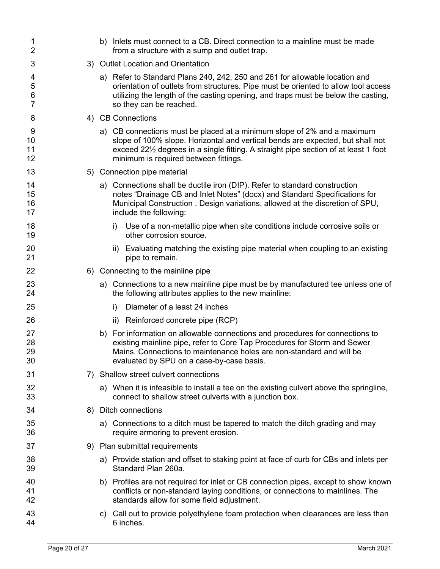| 1<br>$\overline{2}$  |           | b) Inlets must connect to a CB. Direct connection to a mainline must be made<br>from a structure with a sump and outlet trap.                                                                                                                                                                          |
|----------------------|-----------|--------------------------------------------------------------------------------------------------------------------------------------------------------------------------------------------------------------------------------------------------------------------------------------------------------|
| 3                    |           | 3) Outlet Location and Orientation                                                                                                                                                                                                                                                                     |
| 4<br>5<br>6<br>7     |           | a) Refer to Standard Plans 240, 242, 250 and 261 for allowable location and<br>orientation of outlets from structures. Pipe must be oriented to allow tool access<br>utilizing the length of the casting opening, and traps must be below the casting,<br>so they can be reached.                      |
| 8                    |           | 4) CB Connections                                                                                                                                                                                                                                                                                      |
| 9<br>10<br>11<br>12  |           | a) CB connections must be placed at a minimum slope of 2% and a maximum<br>slope of 100% slope. Horizontal and vertical bends are expected, but shall not<br>exceed 221/ <sub>2</sub> degrees in a single fitting. A straight pipe section of at least 1 foot<br>minimum is required between fittings. |
| 13                   |           | 5) Connection pipe material                                                                                                                                                                                                                                                                            |
| 14<br>15<br>16<br>17 |           | a) Connections shall be ductile iron (DIP). Refer to standard construction<br>notes "Drainage CB and Inlet Notes" (docx) and Standard Specifications for<br>Municipal Construction . Design variations, allowed at the discretion of SPU,<br>include the following:                                    |
| 18<br>19             |           | Use of a non-metallic pipe when site conditions include corrosive soils or<br>i)<br>other corrosion source.                                                                                                                                                                                            |
| 20<br>21             |           | Evaluating matching the existing pipe material when coupling to an existing<br>ii)<br>pipe to remain.                                                                                                                                                                                                  |
| 22                   |           | 6) Connecting to the mainline pipe                                                                                                                                                                                                                                                                     |
| 23<br>24             |           | a) Connections to a new mainline pipe must be by manufactured tee unless one of<br>the following attributes applies to the new mainline:                                                                                                                                                               |
| 25                   |           | Diameter of a least 24 inches<br>i)                                                                                                                                                                                                                                                                    |
| 26                   |           | Reinforced concrete pipe (RCP)<br>ii)                                                                                                                                                                                                                                                                  |
| 27<br>28<br>29<br>30 |           | b) For information on allowable connections and procedures for connections to<br>existing mainline pipe, refer to Core Tap Procedures for Storm and Sewer<br>Mains. Connections to maintenance holes are non-standard and will be<br>evaluated by SPU on a case-by-case basis.                         |
| 31                   | $\bigcap$ | Shallow street culvert connections                                                                                                                                                                                                                                                                     |
| 32<br>33             |           | a) When it is infeasible to install a tee on the existing culvert above the springline,<br>connect to shallow street culverts with a junction box.                                                                                                                                                     |
| 34                   |           | 8) Ditch connections                                                                                                                                                                                                                                                                                   |
| 35<br>36             |           | a) Connections to a ditch must be tapered to match the ditch grading and may<br>require armoring to prevent erosion.                                                                                                                                                                                   |
| 37                   |           | 9) Plan submittal requirements                                                                                                                                                                                                                                                                         |
| 38<br>39             |           | a) Provide station and offset to staking point at face of curb for CBs and inlets per<br>Standard Plan 260a.                                                                                                                                                                                           |
| 40<br>41<br>42       |           | b) Profiles are not required for inlet or CB connection pipes, except to show known<br>conflicts or non-standard laying conditions, or connections to mainlines. The<br>standards allow for some field adjustment.                                                                                     |
| 43<br>44             |           | c) Call out to provide polyethylene foam protection when clearances are less than<br>6 inches.                                                                                                                                                                                                         |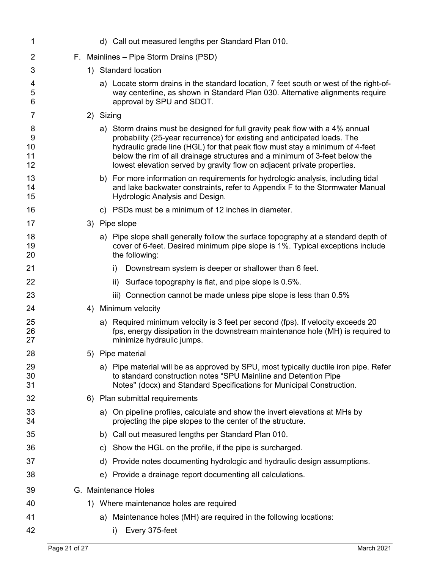| 1                        |  | d) Call out measured lengths per Standard Plan 010.                                                                                                                                                                                                                                                                                                                                              |
|--------------------------|--|--------------------------------------------------------------------------------------------------------------------------------------------------------------------------------------------------------------------------------------------------------------------------------------------------------------------------------------------------------------------------------------------------|
| 2                        |  | F. Mainlines - Pipe Storm Drains (PSD)                                                                                                                                                                                                                                                                                                                                                           |
| 3                        |  | 1) Standard location                                                                                                                                                                                                                                                                                                                                                                             |
| 4<br>5<br>6              |  | a) Locate storm drains in the standard location, 7 feet south or west of the right-of-<br>way centerline, as shown in Standard Plan 030. Alternative alignments require<br>approval by SPU and SDOT.                                                                                                                                                                                             |
| 7                        |  | 2) Sizing                                                                                                                                                                                                                                                                                                                                                                                        |
| 8<br>9<br>10<br>11<br>12 |  | a) Storm drains must be designed for full gravity peak flow with a 4% annual<br>probability (25-year recurrence) for existing and anticipated loads. The<br>hydraulic grade line (HGL) for that peak flow must stay a minimum of 4-feet<br>below the rim of all drainage structures and a minimum of 3-feet below the<br>lowest elevation served by gravity flow on adjacent private properties. |
| 13<br>14<br>15           |  | b) For more information on requirements for hydrologic analysis, including tidal<br>and lake backwater constraints, refer to Appendix F to the Stormwater Manual<br>Hydrologic Analysis and Design.                                                                                                                                                                                              |
| 16                       |  | c) PSDs must be a minimum of 12 inches in diameter.                                                                                                                                                                                                                                                                                                                                              |
| 17                       |  | 3) Pipe slope                                                                                                                                                                                                                                                                                                                                                                                    |
| 18<br>19<br>20           |  | a) Pipe slope shall generally follow the surface topography at a standard depth of<br>cover of 6-feet. Desired minimum pipe slope is 1%. Typical exceptions include<br>the following:                                                                                                                                                                                                            |
| 21                       |  | Downstream system is deeper or shallower than 6 feet.<br>i)                                                                                                                                                                                                                                                                                                                                      |
| 22                       |  | Surface topography is flat, and pipe slope is 0.5%.<br>ii)                                                                                                                                                                                                                                                                                                                                       |
| 23                       |  | iii) Connection cannot be made unless pipe slope is less than 0.5%                                                                                                                                                                                                                                                                                                                               |
| 24                       |  | 4) Minimum velocity                                                                                                                                                                                                                                                                                                                                                                              |
| 25<br>26<br>27           |  | a) Required minimum velocity is 3 feet per second (fps). If velocity exceeds 20<br>fps, energy dissipation in the downstream maintenance hole (MH) is required to<br>minimize hydraulic jumps.                                                                                                                                                                                                   |
| 28                       |  | 5) Pipe material                                                                                                                                                                                                                                                                                                                                                                                 |
| 29<br>30<br>31           |  | a) Pipe material will be as approved by SPU, most typically ductile iron pipe. Refer<br>to standard construction notes "SPU Mainline and Detention Pipe<br>Notes" (docx) and Standard Specifications for Municipal Construction.                                                                                                                                                                 |
| 32                       |  | 6) Plan submittal requirements                                                                                                                                                                                                                                                                                                                                                                   |
| 33<br>34                 |  | a) On pipeline profiles, calculate and show the invert elevations at MHs by<br>projecting the pipe slopes to the center of the structure.                                                                                                                                                                                                                                                        |
| 35                       |  | b) Call out measured lengths per Standard Plan 010.                                                                                                                                                                                                                                                                                                                                              |
| 36                       |  | c) Show the HGL on the profile, if the pipe is surcharged.                                                                                                                                                                                                                                                                                                                                       |
| 37                       |  | Provide notes documenting hydrologic and hydraulic design assumptions.<br>d)                                                                                                                                                                                                                                                                                                                     |
| 38                       |  | e) Provide a drainage report documenting all calculations.                                                                                                                                                                                                                                                                                                                                       |
| 39                       |  | G. Maintenance Holes                                                                                                                                                                                                                                                                                                                                                                             |
| 40                       |  | 1) Where maintenance holes are required                                                                                                                                                                                                                                                                                                                                                          |
| 41                       |  | a) Maintenance holes (MH) are required in the following locations:                                                                                                                                                                                                                                                                                                                               |
| 42                       |  | Every 375-feet<br>i)                                                                                                                                                                                                                                                                                                                                                                             |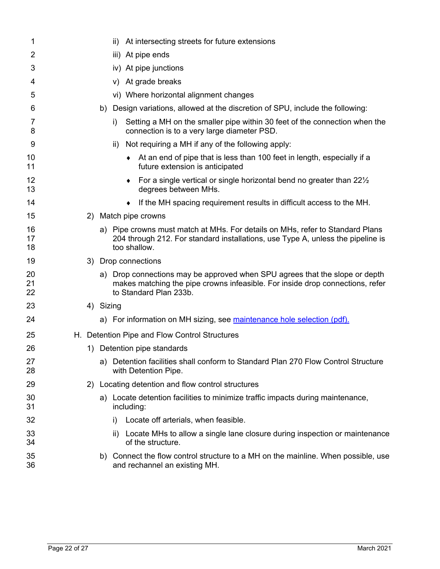| 1              | ii) At intersecting streets for future extensions                                                                                                                                      |
|----------------|----------------------------------------------------------------------------------------------------------------------------------------------------------------------------------------|
| $\overline{2}$ | At pipe ends<br>iii)                                                                                                                                                                   |
| 3              | iv) At pipe junctions                                                                                                                                                                  |
| 4              | v) At grade breaks                                                                                                                                                                     |
| 5              | vi) Where horizontal alignment changes                                                                                                                                                 |
| 6              | Design variations, allowed at the discretion of SPU, include the following:<br>b)                                                                                                      |
| 7<br>8         | Setting a MH on the smaller pipe within 30 feet of the connection when the<br>i)<br>connection is to a very large diameter PSD.                                                        |
| 9              | Not requiring a MH if any of the following apply:<br>ii)                                                                                                                               |
| 10<br>11       | • At an end of pipe that is less than 100 feet in length, especially if a<br>future extension is anticipated                                                                           |
| 12<br>13       | • For a single vertical or single horizontal bend no greater than $22\frac{1}{2}$<br>degrees between MHs.                                                                              |
| 14             | If the MH spacing requirement results in difficult access to the MH.                                                                                                                   |
| 15             | 2) Match pipe crowns                                                                                                                                                                   |
| 16<br>17<br>18 | a) Pipe crowns must match at MHs. For details on MHs, refer to Standard Plans<br>204 through 212. For standard installations, use Type A, unless the pipeline is<br>too shallow.       |
| 19             | 3) Drop connections                                                                                                                                                                    |
| 20<br>21<br>22 | a) Drop connections may be approved when SPU agrees that the slope or depth<br>makes matching the pipe crowns infeasible. For inside drop connections, refer<br>to Standard Plan 233b. |
| 23             | 4) Sizing                                                                                                                                                                              |
| 24             | a) For information on MH sizing, see maintenance hole selection (pdf).                                                                                                                 |
| 25             | H. Detention Pipe and Flow Control Structures                                                                                                                                          |
| 26             | 1) Detention pipe standards                                                                                                                                                            |
| 27<br>28       | a) Detention facilities shall conform to Standard Plan 270 Flow Control Structure<br>with Detention Pipe.                                                                              |
| 29             | 2) Locating detention and flow control structures                                                                                                                                      |
| 30<br>31       | a) Locate detention facilities to minimize traffic impacts during maintenance,<br>including:                                                                                           |
| 32             | Locate off arterials, when feasible.<br>i)                                                                                                                                             |
| 33<br>34       | Locate MHs to allow a single lane closure during inspection or maintenance<br>ii)<br>of the structure.                                                                                 |
| 35<br>36       | b) Connect the flow control structure to a MH on the mainline. When possible, use<br>and rechannel an existing MH.                                                                     |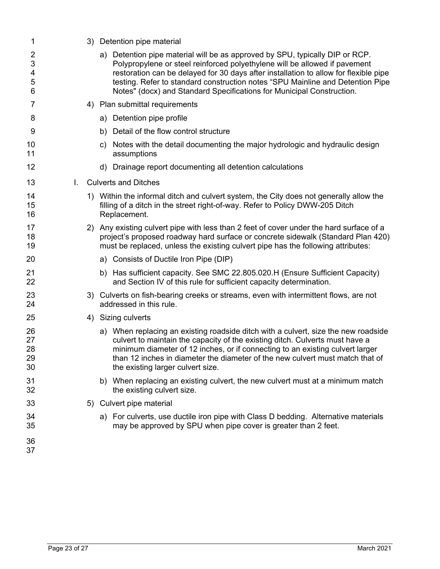| 1                                  |    | 3) Detention pipe material                                                                                                                                                                                                                                                                                                                                                                                    |
|------------------------------------|----|---------------------------------------------------------------------------------------------------------------------------------------------------------------------------------------------------------------------------------------------------------------------------------------------------------------------------------------------------------------------------------------------------------------|
| $\overline{2}$<br>3<br>4<br>5<br>6 |    | a) Detention pipe material will be as approved by SPU, typically DIP or RCP.<br>Polypropylene or steel reinforced polyethylene will be allowed if pavement<br>restoration can be delayed for 30 days after installation to allow for flexible pipe<br>testing. Refer to standard construction notes "SPU Mainline and Detention Pipe<br>Notes" (docx) and Standard Specifications for Municipal Construction. |
| 7                                  |    | 4) Plan submittal requirements                                                                                                                                                                                                                                                                                                                                                                                |
| 8                                  |    | a) Detention pipe profile                                                                                                                                                                                                                                                                                                                                                                                     |
| 9                                  |    | b) Detail of the flow control structure                                                                                                                                                                                                                                                                                                                                                                       |
| 10<br>11                           |    | c) Notes with the detail documenting the major hydrologic and hydraulic design<br>assumptions                                                                                                                                                                                                                                                                                                                 |
| 12                                 |    | d) Drainage report documenting all detention calculations                                                                                                                                                                                                                                                                                                                                                     |
| 13                                 | L. | <b>Culverts and Ditches</b>                                                                                                                                                                                                                                                                                                                                                                                   |
| 14<br>15<br>16                     |    | 1) Within the informal ditch and culvert system, the City does not generally allow the<br>filling of a ditch in the street right-of-way. Refer to Policy DWW-205 Ditch<br>Replacement.                                                                                                                                                                                                                        |
| 17<br>18<br>19                     |    | 2) Any existing culvert pipe with less than 2 feet of cover under the hard surface of a<br>project's proposed roadway hard surface or concrete sidewalk (Standard Plan 420)<br>must be replaced, unless the existing culvert pipe has the following attributes:                                                                                                                                               |
| 20                                 |    | a) Consists of Ductile Iron Pipe (DIP)                                                                                                                                                                                                                                                                                                                                                                        |
| 21<br>22                           |    | b) Has sufficient capacity. See SMC 22.805.020.H (Ensure Sufficient Capacity)<br>and Section IV of this rule for sufficient capacity determination.                                                                                                                                                                                                                                                           |
| 23<br>24                           |    | 3) Culverts on fish-bearing creeks or streams, even with intermittent flows, are not<br>addressed in this rule.                                                                                                                                                                                                                                                                                               |
| 25                                 |    | 4) Sizing culverts                                                                                                                                                                                                                                                                                                                                                                                            |
| 26<br>27<br>28<br>29<br>30         |    | a) When replacing an existing roadside ditch with a culvert, size the new roadside<br>culvert to maintain the capacity of the existing ditch. Culverts must have a<br>minimum diameter of 12 inches, or if connecting to an existing culvert larger<br>than 12 inches in diameter the diameter of the new culvert must match that of<br>the existing larger culvert size.                                     |
| 31<br>32                           |    | b) When replacing an existing culvert, the new culvert must at a minimum match<br>the existing culvert size.                                                                                                                                                                                                                                                                                                  |
| 33                                 |    | 5) Culvert pipe material                                                                                                                                                                                                                                                                                                                                                                                      |
| 34<br>35                           |    | a) For culverts, use ductile iron pipe with Class D bedding. Alternative materials<br>may be approved by SPU when pipe cover is greater than 2 feet.                                                                                                                                                                                                                                                          |
| 36<br>37                           |    |                                                                                                                                                                                                                                                                                                                                                                                                               |
|                                    |    |                                                                                                                                                                                                                                                                                                                                                                                                               |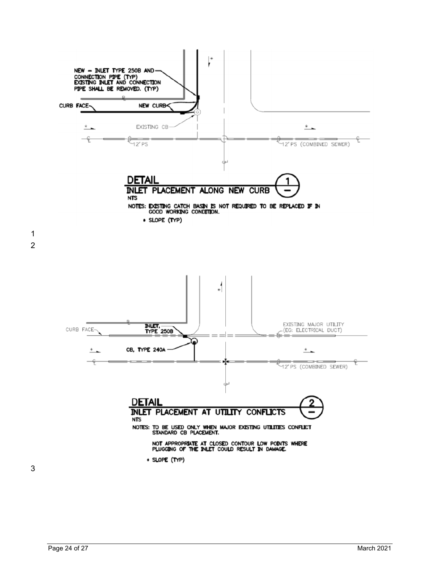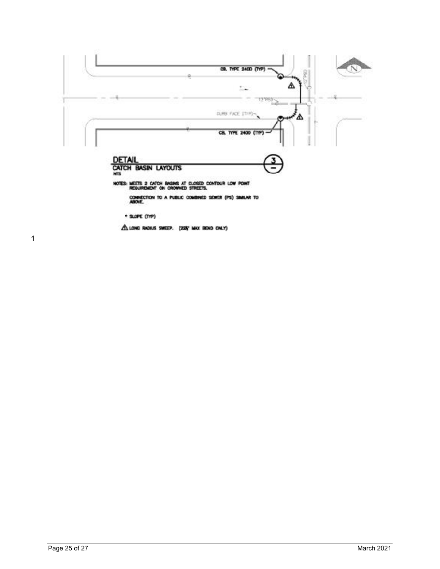

1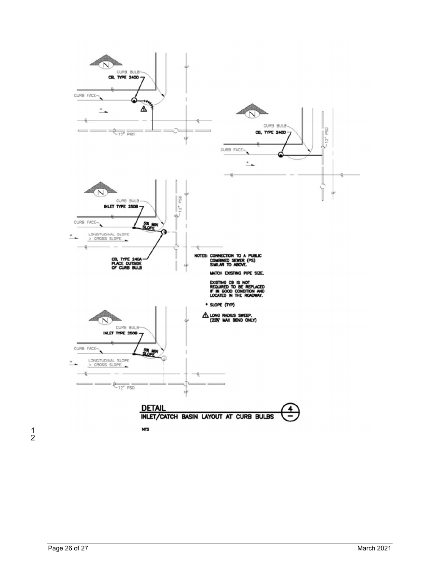